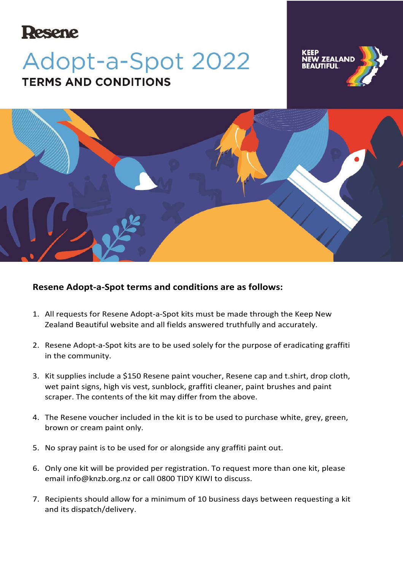## **Resene**

## Adopt-a-Spot 2022 **TERMS AND CONDITIONS**





## **Resene Adopt-a-Spot terms and conditions are as follows:**

- 1. All requests for Resene Adopt-a-Spot kits must be made through the Keep New Zealand Beautiful website and all fields answered truthfully and accurately.
- 2. Resene Adopt-a-Spot kits are to be used solely for the purpose of eradicating graffiti in the community.
- 3. Kit supplies include a \$150 Resene paint voucher, Resene cap and t.shirt, drop cloth, wet paint signs, high vis vest, sunblock, graffiti cleaner, paint brushes and paint scraper. The contents of the kit may differ from the above.
- 4. The Resene voucher included in the kit is to be used to purchase white, grey, green, brown or cream paint only.
- 5. No spray paint is to be used for or alongside any graffiti paint out.
- 6. Only one kit will be provided per registration. To request more than one kit, please email [info@knzb.org.nz](mailto:info@knzb.org.nz) or call 0800 TIDY KIWI to discuss.
- 7. Recipients should allow for a minimum of 10 business days between requesting a kit and its dispatch/delivery.